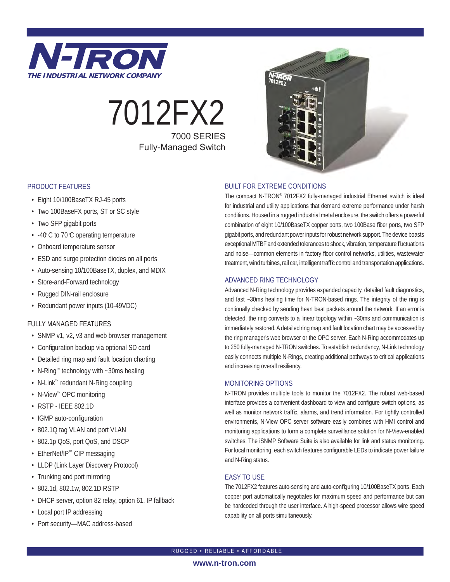

# 7012FX2 7000 SERIES Fully-Managed Switch

### PRODUCT FEATURES

- Eight 10/100BaseTX RJ-45 ports
- Two 100BaseFX ports, ST or SC style
- Two SFP gigabit ports
- -40°C to 70°C operating temperature
- Onboard temperature sensor
- ESD and surge protection diodes on all ports
- Auto-sensing 10/100BaseTX, duplex, and MDIX
- Store-and-Forward technology
- Rugged DIN-rail enclosure
- Redundant power inputs (10-49VDC)

### FULLY MANAGED FEATURES

- SNMP v1, v2, v3 and web browser management
- Configuration backup via optional SD card
- Detailed ring map and fault location charting
- N-Ring™ technology with ~30ms healing
- N-Link™ redundant N-Ring coupling
- N-View™ OPC monitoring
- RSTP IEEE 802.1D
- IGMP auto-configuration
- 802.1Q tag VLAN and port VLAN
- 802.1p QoS, port QoS, and DSCP
- EtherNet/IP™ CIP messaging
- LLDP (Link Layer Discovery Protocol)
- Trunking and port mirroring
- 802.1d, 802.1w, 802.1D RSTP
- DHCP server, option 82 relay, option 61, IP fallback
- Local port IP addressing
- Port security—MAC address-based



### BUILT FOR EXTREME CONDITIONS

The compact N-TRON® 7012FX2 fully-managed industrial Ethernet switch is ideal for industrial and utility applications that demand extreme performance under harsh conditions. Housed in a rugged industrial metal enclosure, the switch offers a powerful combination of eight 10/100BaseTX copper ports, two 100Base fiber ports, two SFP gigabit ports, and redundant power inputs for robust network support. The device boasts exceptional MTBF and extended tolerances to shock, vibration, temperature fluctuations and noise—common elements in factory floor control networks, utilities, wastewater treatment, wind turbines, rail car, intelligent traffic control and transportation applications.

### ADVANCED RING TECHNOLOGY

Advanced N-Ring technology provides expanded capacity, detailed fault diagnostics, and fast ~30ms healing time for N-TRON-based rings. The integrity of the ring is continually checked by sending heart beat packets around the network. If an error is detected, the ring converts to a linear topology within ~30ms and communication is immediately restored. A detailed ring map and fault location chart may be accessed by the ring manager's web browser or the OPC server. Each N-Ring accommodates up to 250 fully-managed N-TRON switches. To establish redundancy, N-Link technology easily connects multiple N-Rings, creating additional pathways to critical applications and increasing overall resiliency.

### MONITORING OPTIONS

N-TRON provides multiple tools to monitor the 7012FX2. The robust web-based interface provides a convenient dashboard to view and configure switch options, as well as monitor network traffic, alarms, and trend information. For tightly controlled environments, N-View OPC server software easily combines with HMI control and monitoring applications to form a complete surveillance solution for N-View-enabled switches. The iSNMP Software Suite is also available for link and status monitoring. For local monitoring, each switch features configurable LEDs to indicate power failure and N-Ring status.

### EASY TO USE

The 7012FX2 features auto-sensing and auto-configuring 10/100BaseTX ports. Each copper port automatically negotiates for maximum speed and performance but can be hardcoded through the user interface. A high-speed processor allows wire speed capability on all ports simultaneously.

#### **www.n-tron.com**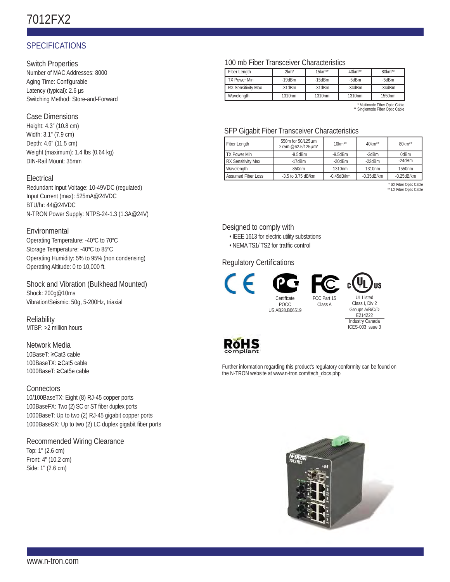## 7012FX2

### **SPECIFICATIONS**

Switch Properties

Number of MAC Addresses: 8000 Aging Time: Configurable Latency (typical): 2.6 μs Switching Method: Store-and-Forward

### Case Dimensions

Height: 4.3" (10.8 cm) Width: 3.1" (7.9 cm) Depth: 4.6" (11.5 cm) Weight (maximum): 1.4 lbs (0.64 kg) DIN-Rail Mount: 35mm

### Electrical

Redundant Input Voltage: 10-49VDC (regulated) Input Current (max): 525mA@24VDC BTU/hr: 44@24VDC N-TRON Power Supply: NTPS-24-1.3 (1.3A@24V)

### Environmental

Operating Temperature: -40°C to 70°C Storage Temperature: -40°C to 85°C Operating Humidity: 5% to 95% (non condensing) Operating Altitude: 0 to 10,000 ft.

Shock and Vibration (Bulkhead Mounted) Shock: 200g@10ms Vibration/Seismic: 50g, 5-200Hz, triaxial

**Reliability** MTBF: >2 million hours

### Network Media 10BaseT: ≥Cat3 cable 100BaseTX: ≥Cat5 cable 1000BaseT: ≥Cat5e cable

**Connectors** 10/100BaseTX: Eight (8) RJ-45 copper ports 100BaseFX: Two (2) SC or ST fiber duplex ports 1000BaseT: Up to two (2) RJ-45 gigabit copper ports 1000BaseSX: Up to two (2) LC duplex gigabit fiber ports

Recommended Wiring Clearance Top: 1" (2.6 cm) Front: 4" (10.2 cm) Side: 1" (2.6 cm)

### 100 mb Fiber Transceiver Characteristics

| Fiber Length              | $2km*$             | $15km**$     | 40km**       | 80km**   |
|---------------------------|--------------------|--------------|--------------|----------|
| <b>TX Power Min</b>       | $-19$ d $Bm$       | $-15$ d $Bm$ | -5dBm        | -5dBm    |
| <b>RX Sensitivity Max</b> | $-31$ d $Bm$       | $-31$ d $Bm$ | $-34$ d $Bm$ | $-34dBm$ |
| Wavelength                | 1310 <sub>nm</sub> | 1310nm       | 1310nm       | 1550nm   |

\* Multimode Fiber Optic Cable \*\* Singlemode Fiber Optic Cable

### SFP Gigabit Fiber Transceiver Characteristics

| Fiber Length              | 550m for 50/125um<br>275m @62.5/125um* | $10km**$         | $40km**$         | 80km**            |
|---------------------------|----------------------------------------|------------------|------------------|-------------------|
| <b>TX Power Min</b>       | $-9.5d$ Bm                             | $-9.5$ d $Bm$    | $-2d$ Bm         | 0dBm              |
| <b>RX Sensitivity Max</b> | $-17$ d $Bm$                           | $-20$ d $Bm$     | $-22$ d $Bm$     | $-24$ d $Rm$      |
| Wavelength                | 850nm                                  | 1310nm           | 1310nm           | 1550nm            |
| <b>Assumed Fiber Loss</b> | $-3.5$ to 3.75 dB/km                   | $-0.45$ d $B/km$ | $-0.35$ d $B/km$ | $-0.25$ d $B$ /km |

SX Fiber Optic Cable \*\* LX Fiber Optic Cable

Designed to comply with

- IEEE 1613 for electric utility substations
- NEMA TS1/ TS2 for traffic control

### **Regulatory Certifications**



Certificate POCC US.AB28.B06519 FCC Part 15

Class A



Class I, Div 2 Groups A/B/C/D E214222 Industry Canada ICES-003 Issue 3



Further information regarding this product's regulatory conformity can be found on the N-TRON website at www.n-tron.com/tech\_docs.php

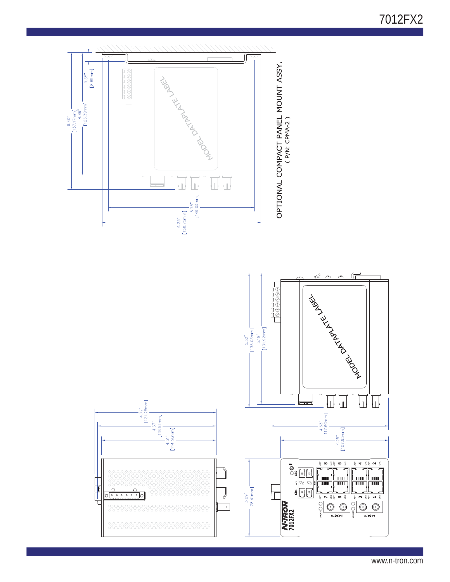